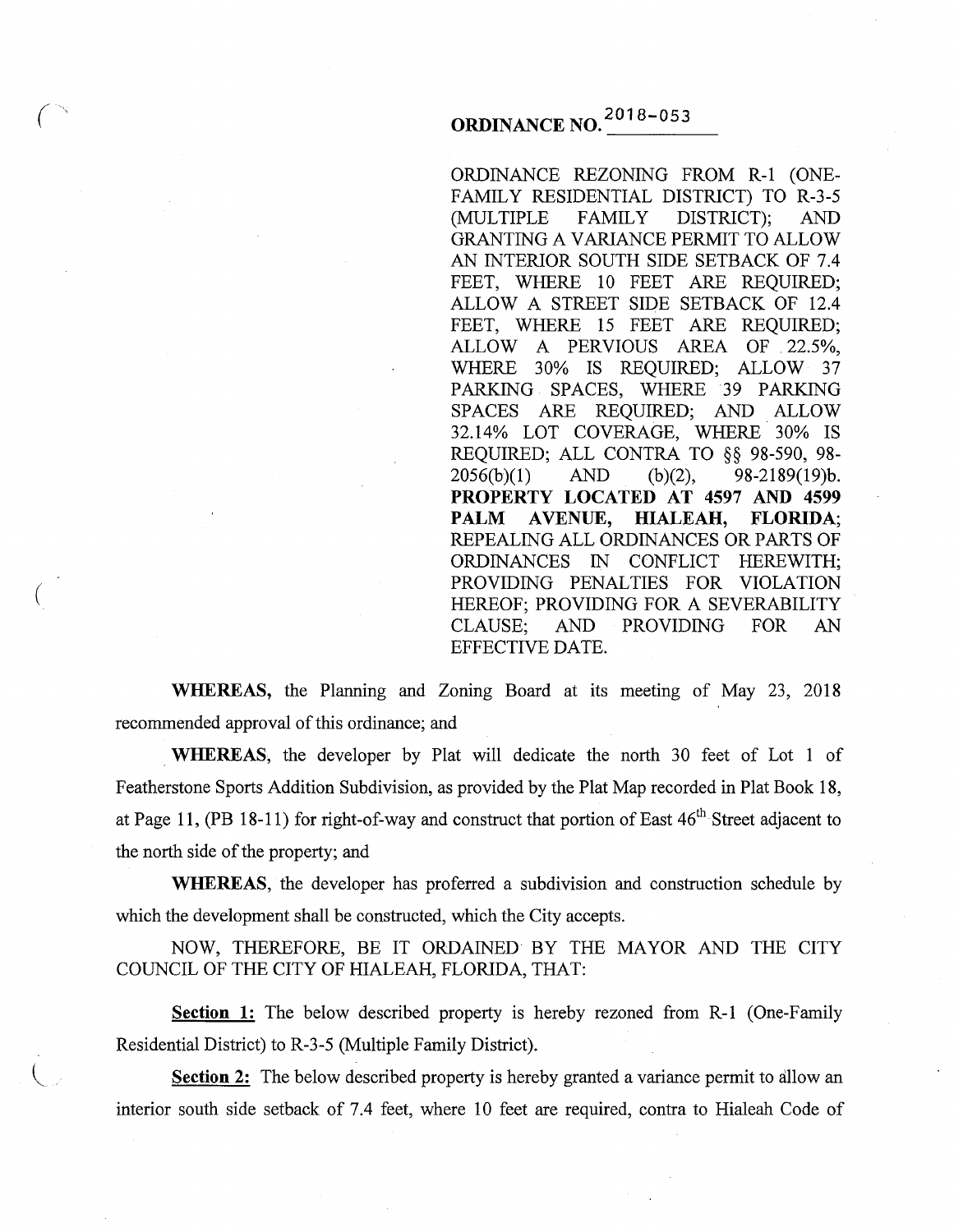# **ORDINANCE NO.<sup>2018-053</sup>**

 $\overline{(\cdot)}$ 

(

ORDINANCE REZONING FROM R-1 (ONE-FAMILY RESIDENTIAL DISTRICT) TO R-3-5 (MULTIPLE FAMILY DISTRICT); AND GRANTING A VARIANCE PERMIT TO ALLOW AN INTERIOR SOUTH SIDE SETBACK OF 7.4 FEET, WHERE 10 FEET ARE REQUIRED; ALLOW A STREET SIDE SETBACK OF 12.4 FEET, WHERE 15 FEET ARE REQUIRED; ALLOW A PERVIOUS AREA OF 22.5%, WHERE 30% IS REQUIRED; ALLOW 37 PARKING SPACES, WHERE 39 PARKING SPACES ARE REQUIRED; AND ALLOW 32.14% LOT COVERAGE, WHERE 30% IS REQUIRED; ALL CONTRA TO §§ 98-590, 98-<br>2056(b)(1) AND (b)(2), 98-2189(19)b. AND (b)(2), 98-2189(19)b. **PROPERTY LOCATED AT 4597 AND 4599**  PALM AVENUE, HIALEAH, FLORIDA; REPEALING ALL ORDINANCES OR PARTS OF ORDINANCES IN CONFLICT HEREWITH; PROVIDING PENALTIES FOR VIOLATION HEREOF; PROVIDING FOR A SEVERABILITY CLAUSE; AND PROVIDING FOR AN EFFECTIVE DATE.

**WHEREAS,** the Planning and Zoning Board at its meeting of May 23, 2018 recommended approval of this ordinance; and

. **WHEREAS,** the developer by Plat will dedicate the north 30 feet of Lot 1 of Featherstone Sports Addition Subdivision, as provided by the Plat Map recorded in Plat Book 18, at Page 11, (PB 18-11) for right-of-way and construct that portion of East 46<sup>th</sup> Street adjacent to the north side of the property; and

**WHEREAS,** the developer has proferred a subdivision and construction schedule by which the development shall be constructed, which the City accepts.

NOW, THEREFORE, BE IT ORDAINED BY THE MAYOR AND THE CITY COUNCIL OF THE CITY OF HIALEAH, FLORIDA, THAT:

**Section 1:** The below described property is hereby rezoned from R-1 (One-Family Residential District) to R-3-5 (Multiple Family District).

**Section 2:** The below described property is hereby granted a variance permit to allow an interior south side setback of 7.4 feet, where 10 feet are required, contra to Hialeah Code of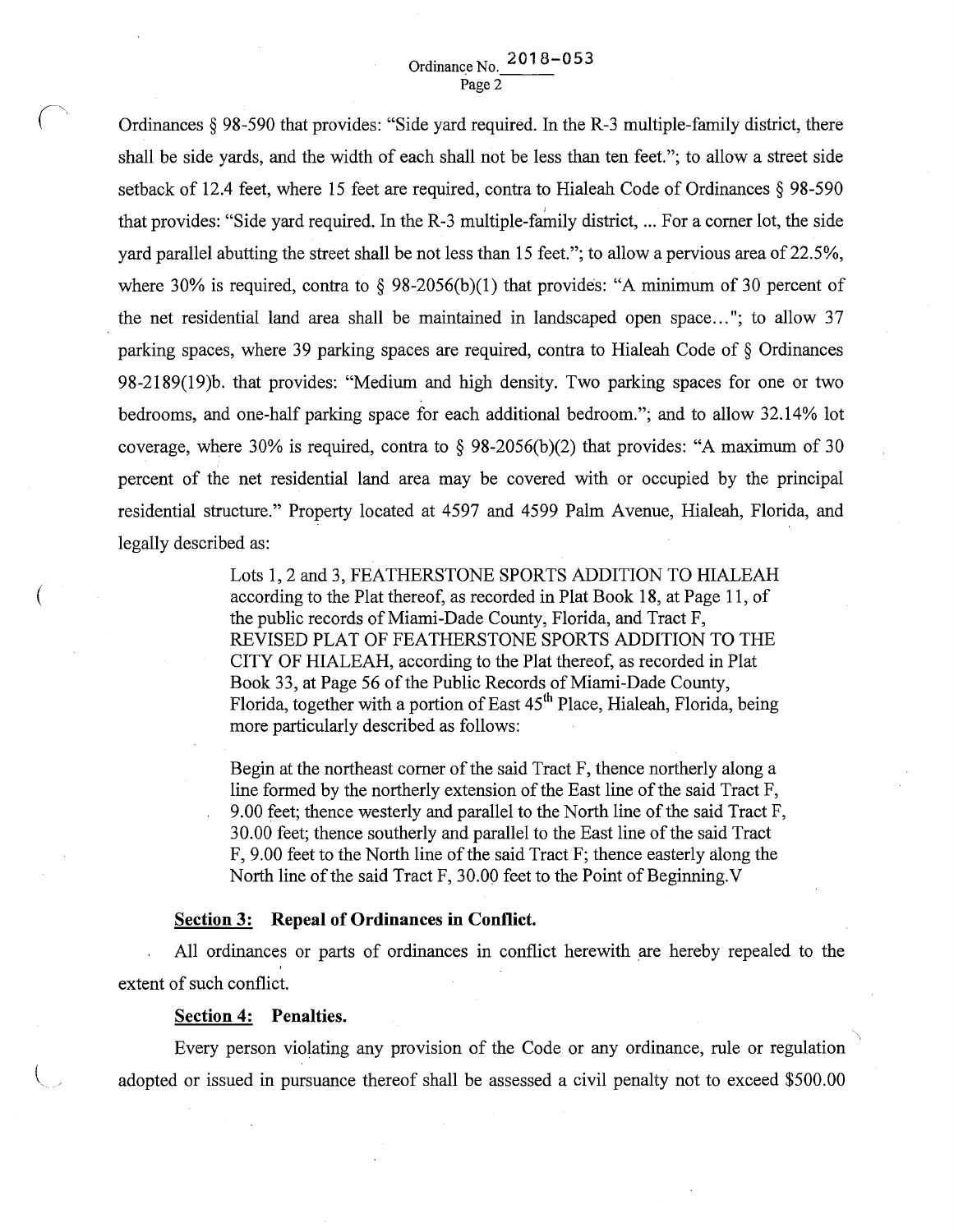Ordinances § 98-590 that provides: "Side yard required. In the R-3 multiple-family district, there shall be side yards, and the width of each shall not be less than ten feet."; to allow a street side setback of 12.4 feet, where 15 feet are required, contra to Hialeah Code of Ordinances § 98-590 that provides: "Side yard required. In the  $R-3$  multiple-family district, ... For a corner lot, the side yard parallel abutting the street shall be not less than 15 feet."; to allow a pervious area of 22.5%, where 30% is required, contra to  $\S$  98-2056(b)(1) that provides: "A minimum of 30 percent of the net residential land area shall be maintained in landscaped open space ... "; to allow 37 parking spaces, where 39 parking spaces are required, contra to Hialeah Code of§ Ordinances 98-2189(19)b. that provides: "Medium and high density. Two parking spaces for one or two bedrooms, and one-half parking space for each additional bedroom."; and to allow 32.14% lot coverage, where 30% is required, contra to  $\S$  98-2056(b)(2) that provides: "A maximum of 30 percent of the net residential land area may be covered with or occupied by the principal residential structure." Property located at 4597 and 4599 Palm Avenue, Hialeah, Florida, and legally described as:

> Lots 1, 2 and 3, FEATHERSTONE SPORTS ADDITION TO HIALEAH according to the Plat thereof, as recorded in Plat Book 18, at Page 11, of the public records of Miami-Dade County, Florida, and Tract F, REVISED PLAT OF FEATHERSTONE SPORTS ADDITION TO THE CITY OF HIALEAH, according to the Plat thereof, as recorded in Plat Book 33, at Page 56 of the Public Records of Miami-Dade County, Florida, together with a portion of East 45<sup>th</sup> Place, Hialeah, Florida, being more particularly described as follows:

> Begin at the northeast comer of the said Tract F, thence northerly along a line formed by the northerly extension of the East line of the said Tract F, 9.00 feet; thence westerly and parallel to the North line of the said Tract F, 30.00 feet; thence southerly and parallel to the East line of the said Tract F, 9.00 feet to the North line of the said Tract F; thence easterly along the North line of the said Tract F, 30.00 feet to the Point of Beginning.  $V$

#### **Section 3: Repeal of Ordinances in Conflict.**

All ordinances or parts of ordinances in conflict herewith are hereby repealed to the extent of such conflict.

### **Section 4: Penalties.**

 $\left($ 

Every person violating any provision of the Code or any ordinance, rule or regulation adopted or issued in pursuance thereof shall be assessed a civil penalty not to exceed \$500.00